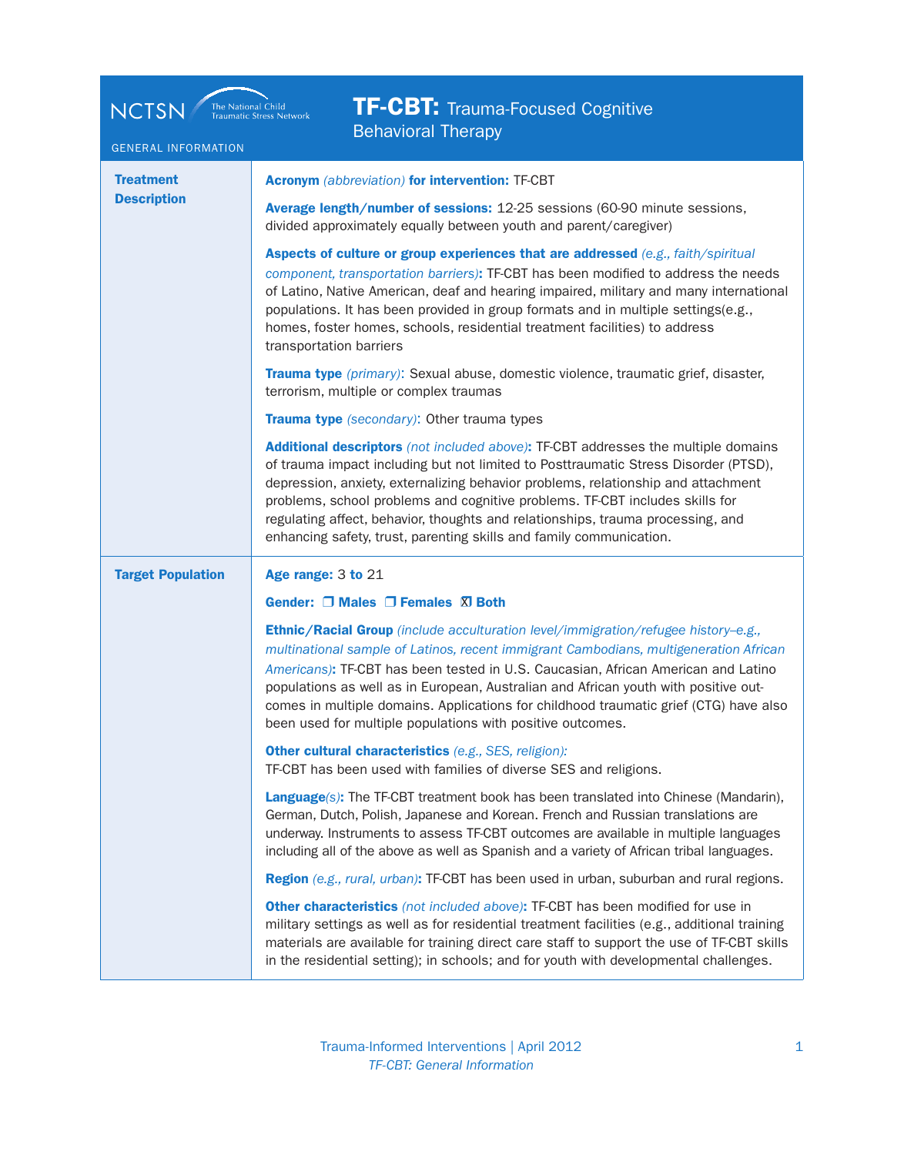| <b>TF-CBT:</b> Trauma-Focused Cognitive<br>The National Child<br>Traumatic Stress Network<br><b>NCTSN</b><br><b>Behavioral Therapy</b> |                                                                                                                                                                                                                                                                                                                                                                                                                                                                                                                |
|----------------------------------------------------------------------------------------------------------------------------------------|----------------------------------------------------------------------------------------------------------------------------------------------------------------------------------------------------------------------------------------------------------------------------------------------------------------------------------------------------------------------------------------------------------------------------------------------------------------------------------------------------------------|
| <b>GENERAL INFORMATION</b>                                                                                                             |                                                                                                                                                                                                                                                                                                                                                                                                                                                                                                                |
| <b>Treatment</b>                                                                                                                       | <b>Acronym</b> (abbreviation) for intervention: TF-CBT                                                                                                                                                                                                                                                                                                                                                                                                                                                         |
| <b>Description</b>                                                                                                                     | Average length/number of sessions: 12-25 sessions (60-90 minute sessions,<br>divided approximately equally between youth and parent/caregiver)                                                                                                                                                                                                                                                                                                                                                                 |
|                                                                                                                                        | Aspects of culture or group experiences that are addressed (e.g., faith/spiritual<br>component, transportation barriers): TF-CBT has been modified to address the needs<br>of Latino, Native American, deaf and hearing impaired, military and many international<br>populations. It has been provided in group formats and in multiple settings(e.g.,<br>homes, foster homes, schools, residential treatment facilities) to address<br>transportation barriers                                                |
|                                                                                                                                        | Trauma type (primary): Sexual abuse, domestic violence, traumatic grief, disaster,<br>terrorism, multiple or complex traumas                                                                                                                                                                                                                                                                                                                                                                                   |
|                                                                                                                                        | Trauma type (secondary): Other trauma types                                                                                                                                                                                                                                                                                                                                                                                                                                                                    |
|                                                                                                                                        | Additional descriptors (not included above): TF-CBT addresses the multiple domains<br>of trauma impact including but not limited to Posttraumatic Stress Disorder (PTSD),<br>depression, anxiety, externalizing behavior problems, relationship and attachment<br>problems, school problems and cognitive problems. TF-CBT includes skills for<br>regulating affect, behavior, thoughts and relationships, trauma processing, and<br>enhancing safety, trust, parenting skills and family communication.       |
| <b>Target Population</b>                                                                                                               | Age range: 3 to 21                                                                                                                                                                                                                                                                                                                                                                                                                                                                                             |
|                                                                                                                                        | Gender: □ Males □ Females XI Both                                                                                                                                                                                                                                                                                                                                                                                                                                                                              |
|                                                                                                                                        | Ethnic/Racial Group (include acculturation level/immigration/refugee history-e.g.,<br>multinational sample of Latinos, recent immigrant Cambodians, multigeneration African<br>Americans): TF-CBT has been tested in U.S. Caucasian, African American and Latino<br>populations as well as in European, Australian and African youth with positive out-<br>comes in multiple domains. Applications for childhood traumatic grief (CTG) have also<br>been used for multiple populations with positive outcomes. |
|                                                                                                                                        | Other cultural characteristics (e.g., SES, religion):<br>TF-CBT has been used with families of diverse SES and religions.                                                                                                                                                                                                                                                                                                                                                                                      |
|                                                                                                                                        | Language(s): The TF-CBT treatment book has been translated into Chinese (Mandarin),<br>German, Dutch, Polish, Japanese and Korean. French and Russian translations are<br>underway. Instruments to assess TF-CBT outcomes are available in multiple languages<br>including all of the above as well as Spanish and a variety of African tribal languages.                                                                                                                                                      |
|                                                                                                                                        | Region (e.g., rural, urban): TF-CBT has been used in urban, suburban and rural regions.                                                                                                                                                                                                                                                                                                                                                                                                                        |
|                                                                                                                                        | Other characteristics (not included above): TF-CBT has been modified for use in<br>military settings as well as for residential treatment facilities (e.g., additional training<br>materials are available for training direct care staff to support the use of TF-CBT skills<br>in the residential setting); in schools; and for youth with developmental challenges.                                                                                                                                         |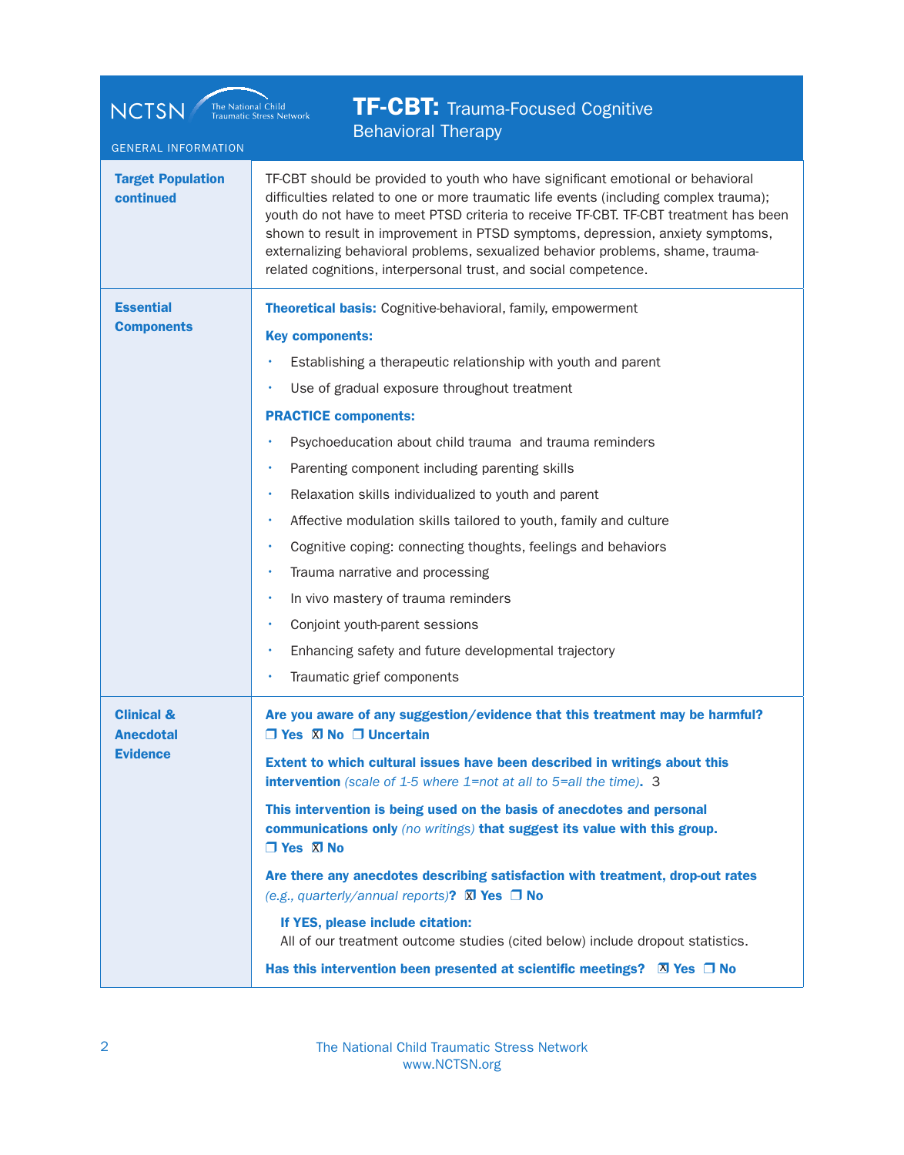| <b>TF-CBT:</b> Trauma-Focused Cognitive<br><b>NCTSN</b><br>The National Child<br><b>Traumatic Stress Network</b><br><b>Behavioral Therapy</b><br><b>GENERAL INFORMATION</b> |                                                                                                                                                                                                                                                                                                                                                                                                                                                                                                                                                                                                                                                                                                                                                                                                                                              |  |
|-----------------------------------------------------------------------------------------------------------------------------------------------------------------------------|----------------------------------------------------------------------------------------------------------------------------------------------------------------------------------------------------------------------------------------------------------------------------------------------------------------------------------------------------------------------------------------------------------------------------------------------------------------------------------------------------------------------------------------------------------------------------------------------------------------------------------------------------------------------------------------------------------------------------------------------------------------------------------------------------------------------------------------------|--|
| <b>Target Population</b><br>continued                                                                                                                                       | TF-CBT should be provided to youth who have significant emotional or behavioral<br>difficulties related to one or more traumatic life events (including complex trauma);<br>youth do not have to meet PTSD criteria to receive TF-CBT. TF-CBT treatment has been<br>shown to result in improvement in PTSD symptoms, depression, anxiety symptoms,<br>externalizing behavioral problems, sexualized behavior problems, shame, trauma-<br>related cognitions, interpersonal trust, and social competence.                                                                                                                                                                                                                                                                                                                                     |  |
| <b>Essential</b><br><b>Components</b>                                                                                                                                       | <b>Theoretical basis:</b> Cognitive-behavioral, family, empowerment<br><b>Key components:</b><br>Establishing a therapeutic relationship with youth and parent<br>Use of gradual exposure throughout treatment<br><b>PRACTICE components:</b><br>Psychoeducation about child trauma and trauma reminders<br>Parenting component including parenting skills<br>Relaxation skills individualized to youth and parent<br>Affective modulation skills tailored to youth, family and culture<br>Cognitive coping: connecting thoughts, feelings and behaviors<br>Trauma narrative and processing<br>In vivo mastery of trauma reminders<br>Conjoint youth-parent sessions<br>Enhancing safety and future developmental trajectory<br>Traumatic grief components                                                                                   |  |
| <b>Clinical &amp;</b><br><b>Anecdotal</b><br><b>Evidence</b>                                                                                                                | Are you aware of any suggestion/evidence that this treatment may be harmful?<br>$\Box$ Yes $\Box$ No $\Box$ Uncertain<br>Extent to which cultural issues have been described in writings about this<br><b>intervention</b> (scale of $1-5$ where $1=$ not at all to $5=$ all the time). 3<br>This intervention is being used on the basis of anecdotes and personal<br>communications only (no writings) that suggest its value with this group.<br>$\Box$ Yes $\Box$ No<br>Are there any anecdotes describing satisfaction with treatment, drop-out rates<br>(e.g., quarterly/annual reports)? $\overline{X}$ Yes $\Box$ No<br>If YES, please include citation:<br>All of our treatment outcome studies (cited below) include dropout statistics.<br>Has this intervention been presented at scientific meetings? $\boxtimes$ Yes $\Box$ No |  |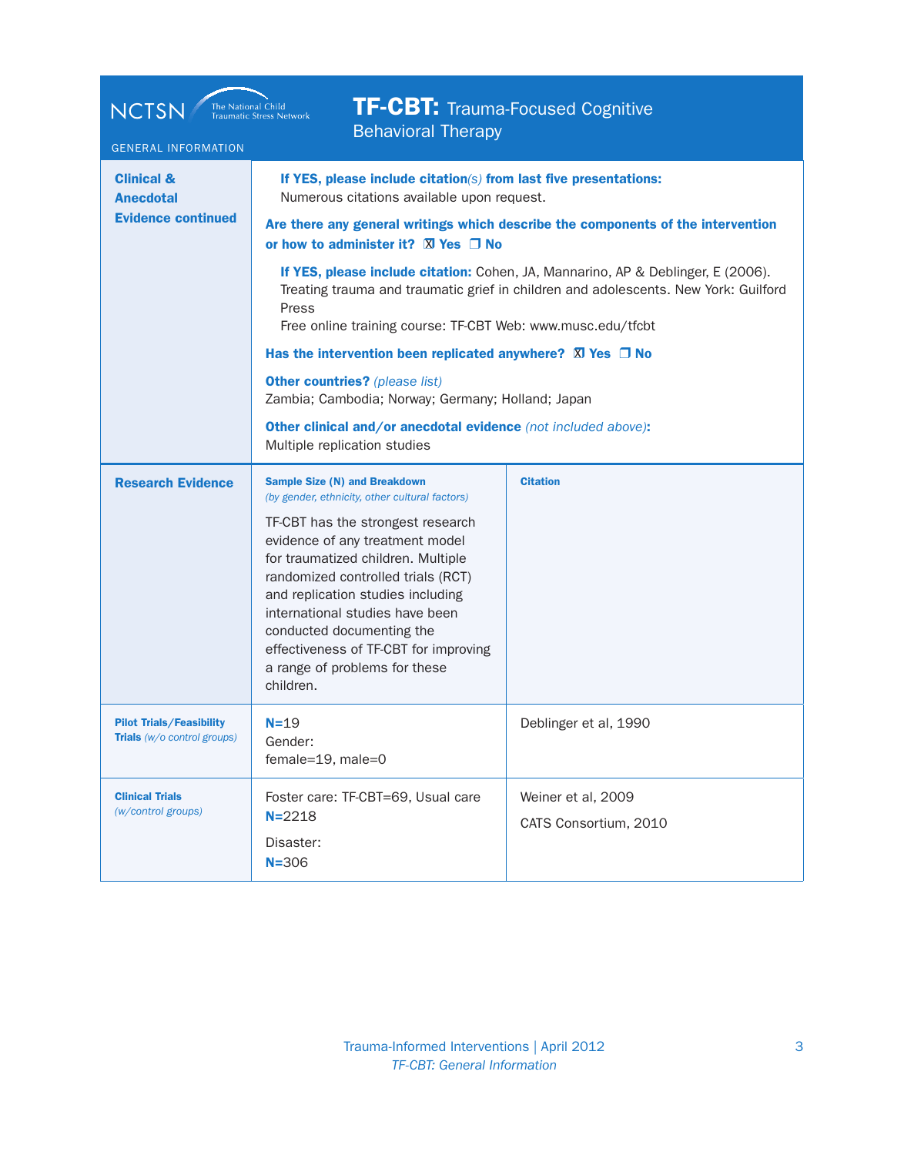| <b>TF-CBT:</b> Trauma-Focused Cognitive<br><b>NCTSN</b><br>The National Child<br><b>Traumatic Stress Network</b><br><b>Behavioral Therapy</b><br><b>GENERAL INFORMATION</b> |                                                                                                                                                                                                                                                                                                                                                                                                                                                                                                                          |                                                                                                                                                                                                                                                             |
|-----------------------------------------------------------------------------------------------------------------------------------------------------------------------------|--------------------------------------------------------------------------------------------------------------------------------------------------------------------------------------------------------------------------------------------------------------------------------------------------------------------------------------------------------------------------------------------------------------------------------------------------------------------------------------------------------------------------|-------------------------------------------------------------------------------------------------------------------------------------------------------------------------------------------------------------------------------------------------------------|
| <b>Clinical &amp;</b><br><b>Anecdotal</b><br><b>Evidence continued</b>                                                                                                      | If YES, please include citation(s) from last five presentations:<br>Numerous citations available upon request.<br>or how to administer it? $\boxtimes$ Yes $\Box$ No<br>Press<br>Free online training course: TF-CBT Web: www.musc.edu/tfcbt<br>Has the intervention been replicated anywhere? $\boxtimes$ Yes $\Box$ No<br><b>Other countries?</b> (please list)<br>Zambia; Cambodia; Norway; Germany; Holland; Japan<br>Other clinical and/or anecdotal evidence (not included above):<br>Multiple replication studies | Are there any general writings which describe the components of the intervention<br>If YES, please include citation: Cohen, JA, Mannarino, AP & Deblinger, E (2006).<br>Treating trauma and traumatic grief in children and adolescents. New York: Guilford |
| <b>Research Evidence</b>                                                                                                                                                    | <b>Sample Size (N) and Breakdown</b><br>(by gender, ethnicity, other cultural factors)<br>TF-CBT has the strongest research<br>evidence of any treatment model<br>for traumatized children. Multiple<br>randomized controlled trials (RCT)<br>and replication studies including<br>international studies have been<br>conducted documenting the<br>effectiveness of TF-CBT for improving<br>a range of problems for these<br>children.                                                                                   | <b>Citation</b>                                                                                                                                                                                                                                             |
| <b>Pilot Trials/Feasibility</b><br>Trials (w/o control groups)                                                                                                              | $N = 19$<br>Gender:<br>female=19, male=0                                                                                                                                                                                                                                                                                                                                                                                                                                                                                 | Deblinger et al, 1990                                                                                                                                                                                                                                       |
| <b>Clinical Trials</b><br>(w/control groups)                                                                                                                                | Foster care: TF-CBT=69, Usual care<br>$N = 2218$<br>Disaster:<br>$N = 306$                                                                                                                                                                                                                                                                                                                                                                                                                                               | Weiner et al, 2009<br>CATS Consortium, 2010                                                                                                                                                                                                                 |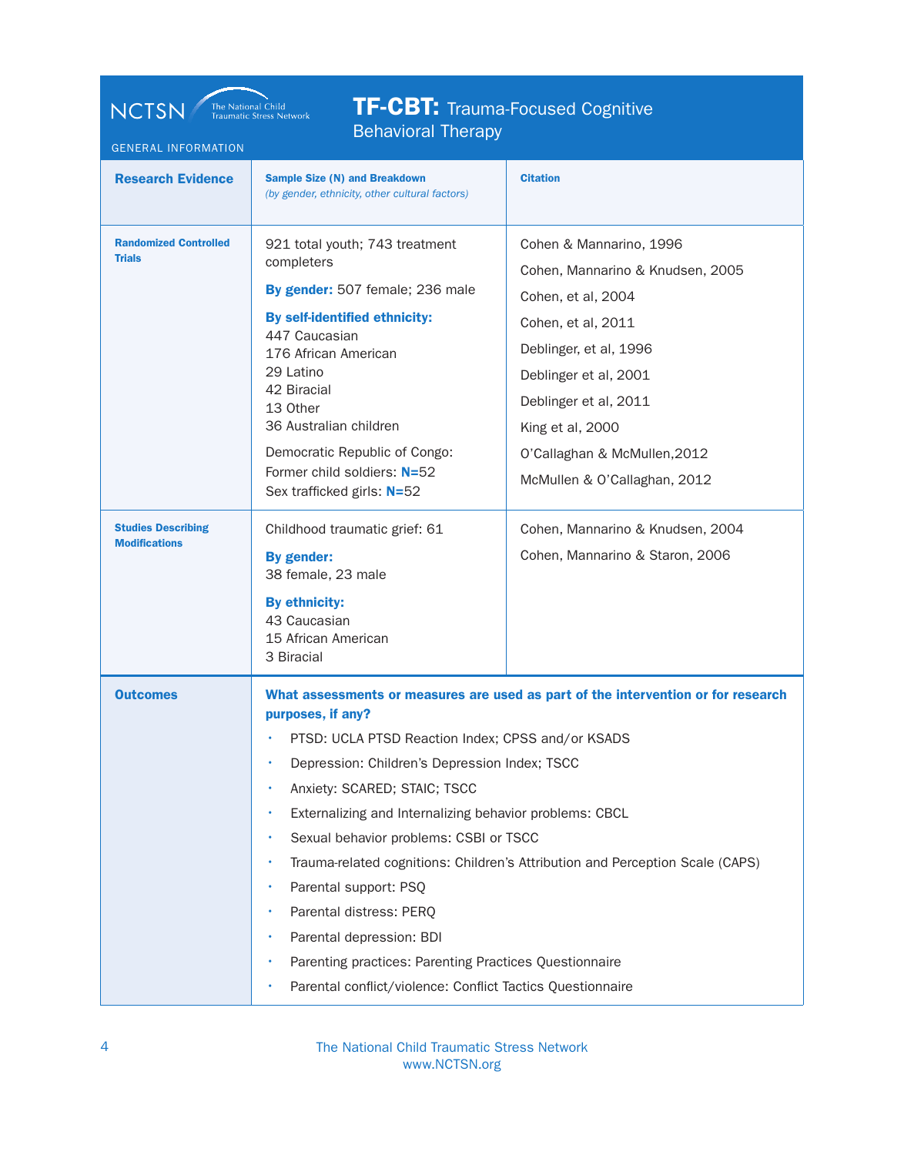IF-UDI. Irauma-Focused<br>Rebavieral Therany **TF-CBT:** Trauma-Focused Cognitive Behavioral Therapy

NCTSN The National Child Traumatic Stress Network

| <b>GENERAL INFORMATION</b>                        |                                                                                                                                                                                                                                                                                                                                                                                                                                                                        |                                                                                                                                                                                                                                                                         |
|---------------------------------------------------|------------------------------------------------------------------------------------------------------------------------------------------------------------------------------------------------------------------------------------------------------------------------------------------------------------------------------------------------------------------------------------------------------------------------------------------------------------------------|-------------------------------------------------------------------------------------------------------------------------------------------------------------------------------------------------------------------------------------------------------------------------|
| <b>Research Evidence</b>                          | <b>Sample Size (N) and Breakdown</b><br>(by gender, ethnicity, other cultural factors)                                                                                                                                                                                                                                                                                                                                                                                 | <b>Citation</b>                                                                                                                                                                                                                                                         |
| <b>Randomized Controlled</b><br><b>Trials</b>     | 921 total youth; 743 treatment<br>completers<br>By gender: 507 female; 236 male<br>By self-identified ethnicity:<br>447 Caucasian<br>176 African American<br>29 Latino<br>42 Biracial<br>13 Other<br>36 Australian children<br>Democratic Republic of Congo:<br>Former child soldiers: N=52<br>Sex trafficked girls: N=52                                                                                                                                              | Cohen & Mannarino, 1996<br>Cohen, Mannarino & Knudsen, 2005<br>Cohen, et al, 2004<br>Cohen, et al, 2011<br>Deblinger, et al, 1996<br>Deblinger et al, 2001<br>Deblinger et al, 2011<br>King et al, 2000<br>O'Callaghan & McMullen, 2012<br>McMullen & O'Callaghan, 2012 |
| <b>Studies Describing</b><br><b>Modifications</b> | Childhood traumatic grief: 61<br>By gender:<br>38 female, 23 male<br><b>By ethnicity:</b><br>43 Caucasian<br>15 African American<br>3 Biracial                                                                                                                                                                                                                                                                                                                         | Cohen, Mannarino & Knudsen, 2004<br>Cohen, Mannarino & Staron, 2006                                                                                                                                                                                                     |
| <b>Outcomes</b>                                   | purposes, if any?<br>PTSD: UCLA PTSD Reaction Index; CPSS and/or KSADS<br>· Depression: Children's Depression Index; TSCC<br>Anxiety: SCARED; STAIC; TSCC<br>Externalizing and Internalizing behavior problems: CBCL<br>Sexual behavior problems: CSBI or TSCC<br>Parental support: PSQ<br>Parental distress: PERQ<br>Parental depression: BDI<br>Parenting practices: Parenting Practices Questionnaire<br>Parental conflict/violence: Conflict Tactics Questionnaire | What assessments or measures are used as part of the intervention or for research<br>Trauma-related cognitions: Children's Attribution and Perception Scale (CAPS)                                                                                                      |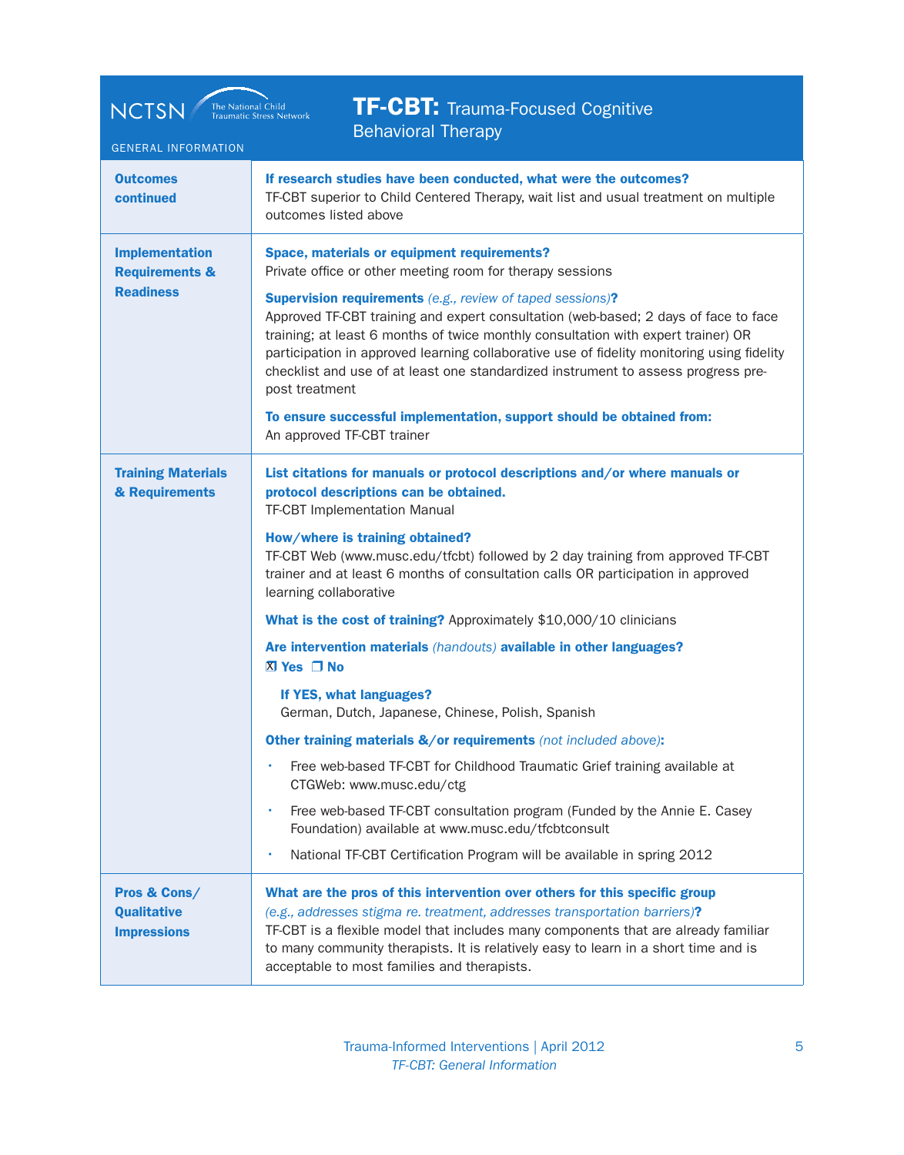| <b>TF-CBT:</b> Trauma-Focused Cognitive<br><b>NCTSN</b><br>The National Child<br>Traumatic Stress Network<br><b>Behavioral Therapy</b><br><b>GENERAL INFORMATION</b> |                                                                                                                                                                                                                                                                                                                                                                                                                                                                                                                                                                                                                                                                                                                                                                                                                                                                                                                                                                                                                                                             |  |
|----------------------------------------------------------------------------------------------------------------------------------------------------------------------|-------------------------------------------------------------------------------------------------------------------------------------------------------------------------------------------------------------------------------------------------------------------------------------------------------------------------------------------------------------------------------------------------------------------------------------------------------------------------------------------------------------------------------------------------------------------------------------------------------------------------------------------------------------------------------------------------------------------------------------------------------------------------------------------------------------------------------------------------------------------------------------------------------------------------------------------------------------------------------------------------------------------------------------------------------------|--|
| <b>Outcomes</b><br>continued                                                                                                                                         | If research studies have been conducted, what were the outcomes?<br>TF-CBT superior to Child Centered Therapy, wait list and usual treatment on multiple<br>outcomes listed above                                                                                                                                                                                                                                                                                                                                                                                                                                                                                                                                                                                                                                                                                                                                                                                                                                                                           |  |
| <b>Implementation</b><br><b>Requirements &amp;</b><br><b>Readiness</b>                                                                                               | Space, materials or equipment requirements?<br>Private office or other meeting room for therapy sessions<br><b>Supervision requirements</b> (e.g., review of taped sessions)?<br>Approved TF-CBT training and expert consultation (web-based; 2 days of face to face<br>training; at least 6 months of twice monthly consultation with expert trainer) OR<br>participation in approved learning collaborative use of fidelity monitoring using fidelity<br>checklist and use of at least one standardized instrument to assess progress pre-<br>post treatment<br>To ensure successful implementation, support should be obtained from:<br>An approved TF-CBT trainer                                                                                                                                                                                                                                                                                                                                                                                       |  |
| <b>Training Materials</b><br>& Requirements                                                                                                                          | List citations for manuals or protocol descriptions and/or where manuals or<br>protocol descriptions can be obtained.<br><b>TF-CBT Implementation Manual</b><br>How/where is training obtained?<br>TF-CBT Web (www.musc.edu/tfcbt) followed by 2 day training from approved TF-CBT<br>trainer and at least 6 months of consultation calls OR participation in approved<br>learning collaborative<br>What is the cost of training? Approximately \$10,000/10 clinicians<br>Are intervention materials (handouts) available in other languages?<br>$X$ Yes $\Box$ No<br>If YES, what languages?<br>German, Dutch, Japanese, Chinese, Polish, Spanish<br><b>Other training materials &amp;/or requirements</b> (not included above):<br>Free web-based TF-CBT for Childhood Traumatic Grief training available at<br>CTGWeb: www.musc.edu/ctg<br>Free web-based TF-CBT consultation program (Funded by the Annie E. Casey<br>٠<br>Foundation) available at www.musc.edu/tfcbtconsult<br>National TF-CBT Certification Program will be available in spring 2012 |  |
| Pros & Cons/<br><b>Qualitative</b><br><b>Impressions</b>                                                                                                             | What are the pros of this intervention over others for this specific group<br>(e.g., addresses stigma re. treatment, addresses transportation barriers)?<br>TF-CBT is a flexible model that includes many components that are already familiar<br>to many community therapists. It is relatively easy to learn in a short time and is<br>acceptable to most families and therapists.                                                                                                                                                                                                                                                                                                                                                                                                                                                                                                                                                                                                                                                                        |  |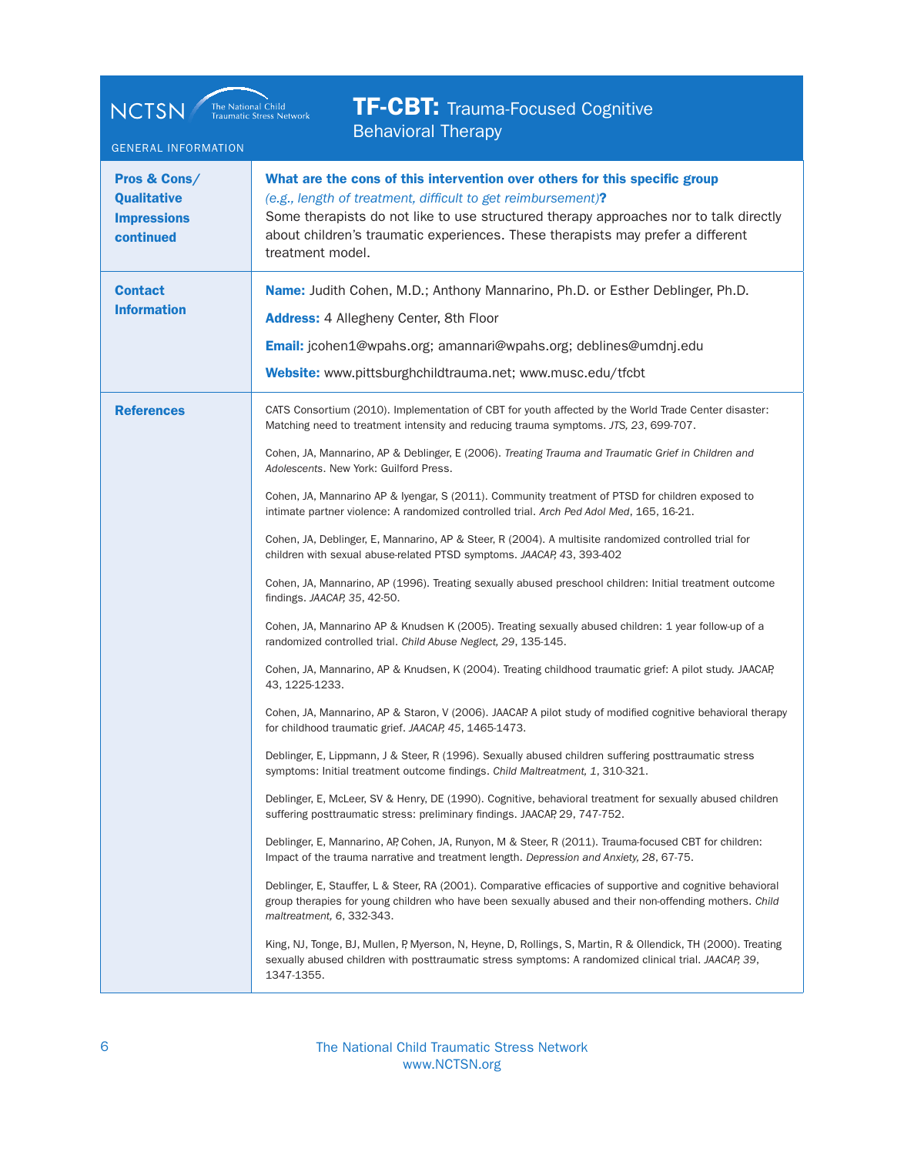| <b>TF-CBT:</b> Trauma-Focused Cognitive<br><b>NCTSN</b><br>The National Child<br><b>Traumatic Stress Network</b><br><b>Behavioral Therapy</b><br><b>GENERAL INFORMATION</b> |                                                                                                                                                                                                                                                                                                                                                                                                                                                                                                                                                                                                                                                                                                                                                                                                                                                                                                                                                                                                                                                                                                                                                                                                                                                                                                                                                                                                                                                                                                                                                                                                                                                                                                                                                                                                                                                                                                                                                                                                                                                                                                                                                                                                                                                                                                                                                                                                                                                  |  |
|-----------------------------------------------------------------------------------------------------------------------------------------------------------------------------|--------------------------------------------------------------------------------------------------------------------------------------------------------------------------------------------------------------------------------------------------------------------------------------------------------------------------------------------------------------------------------------------------------------------------------------------------------------------------------------------------------------------------------------------------------------------------------------------------------------------------------------------------------------------------------------------------------------------------------------------------------------------------------------------------------------------------------------------------------------------------------------------------------------------------------------------------------------------------------------------------------------------------------------------------------------------------------------------------------------------------------------------------------------------------------------------------------------------------------------------------------------------------------------------------------------------------------------------------------------------------------------------------------------------------------------------------------------------------------------------------------------------------------------------------------------------------------------------------------------------------------------------------------------------------------------------------------------------------------------------------------------------------------------------------------------------------------------------------------------------------------------------------------------------------------------------------------------------------------------------------------------------------------------------------------------------------------------------------------------------------------------------------------------------------------------------------------------------------------------------------------------------------------------------------------------------------------------------------------------------------------------------------------------------------------------------------|--|
| Pros & Cons/<br><b>Qualitative</b><br><b>Impressions</b><br>continued                                                                                                       | What are the cons of this intervention over others for this specific group<br>(e.g., length of treatment, difficult to get reimbursement)?<br>Some therapists do not like to use structured therapy approaches nor to talk directly<br>about children's traumatic experiences. These therapists may prefer a different<br>treatment model.                                                                                                                                                                                                                                                                                                                                                                                                                                                                                                                                                                                                                                                                                                                                                                                                                                                                                                                                                                                                                                                                                                                                                                                                                                                                                                                                                                                                                                                                                                                                                                                                                                                                                                                                                                                                                                                                                                                                                                                                                                                                                                       |  |
| <b>Contact</b><br><b>Information</b>                                                                                                                                        | Name: Judith Cohen, M.D.; Anthony Mannarino, Ph.D. or Esther Deblinger, Ph.D.<br><b>Address: 4 Allegheny Center, 8th Floor</b><br>Email: jcohen1@wpahs.org; amannari@wpahs.org; deblines@umdnj.edu<br>Website: www.pittsburghchildtrauma.net; www.musc.edu/tfcbt                                                                                                                                                                                                                                                                                                                                                                                                                                                                                                                                                                                                                                                                                                                                                                                                                                                                                                                                                                                                                                                                                                                                                                                                                                                                                                                                                                                                                                                                                                                                                                                                                                                                                                                                                                                                                                                                                                                                                                                                                                                                                                                                                                                 |  |
| <b>References</b>                                                                                                                                                           | CATS Consortium (2010). Implementation of CBT for youth affected by the World Trade Center disaster:<br>Matching need to treatment intensity and reducing trauma symptoms. JTS, 23, 699-707.<br>Cohen, JA, Mannarino, AP & Deblinger, E (2006). Treating Trauma and Traumatic Grief in Children and<br>Adolescents. New York: Guilford Press.<br>Cohen, JA, Mannarino AP & Iyengar, S (2011). Community treatment of PTSD for children exposed to<br>intimate partner violence: A randomized controlled trial. Arch Ped Adol Med, 165, 16-21.<br>Cohen, JA, Deblinger, E, Mannarino, AP & Steer, R (2004). A multisite randomized controlled trial for<br>children with sexual abuse-related PTSD symptoms. JAACAP, 43, 393-402<br>Cohen, JA, Mannarino, AP (1996). Treating sexually abused preschool children: Initial treatment outcome<br>findings. JAACAP, 35, 42-50.<br>Cohen, JA, Mannarino AP & Knudsen K (2005). Treating sexually abused children: 1 year follow-up of a<br>randomized controlled trial. Child Abuse Neglect, 29, 135-145.<br>Cohen, JA, Mannarino, AP & Knudsen, K (2004). Treating childhood traumatic grief: A pilot study. JAACAP,<br>43, 1225-1233.<br>Cohen, JA, Mannarino, AP & Staron, V (2006). JAACAP A pilot study of modified cognitive behavioral therapy<br>for childhood traumatic grief. JAACAP, 45, 1465-1473.<br>Deblinger, E, Lippmann, J & Steer, R (1996). Sexually abused children suffering posttraumatic stress<br>symptoms: Initial treatment outcome findings. Child Maltreatment, 1, 310-321.<br>Deblinger, E, McLeer, SV & Henry, DE (1990). Cognitive, behavioral treatment for sexually abused children<br>suffering posttraumatic stress: preliminary findings. JAACAP, 29, 747-752.<br>Deblinger, E, Mannarino, AP, Cohen, JA, Runyon, M & Steer, R (2011). Trauma-focused CBT for children:<br>Impact of the trauma narrative and treatment length. Depression and Anxiety, 28, 67-75.<br>Deblinger, E, Stauffer, L & Steer, RA (2001). Comparative efficacies of supportive and cognitive behavioral<br>group therapies for young children who have been sexually abused and their non-offending mothers. Child<br>maltreatment, 6, 332-343.<br>King, NJ, Tonge, BJ, Mullen, P, Myerson, N, Heyne, D, Rollings, S, Martin, R & Ollendick, TH (2000). Treating<br>sexually abused children with posttraumatic stress symptoms: A randomized clinical trial. JAACAP, 39,<br>1347-1355. |  |